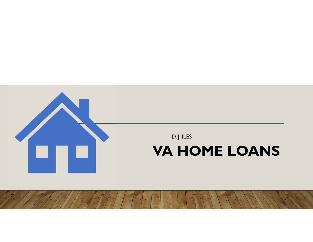

# **VA HOME LOANS**

D. J. ILES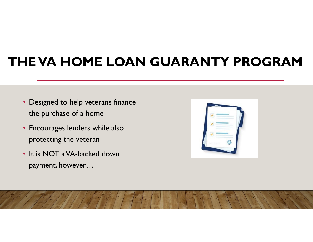# **THE VA HOME LOAN GUARANTY PROGRAM**

- Designed to help veterans finance the purchase of a home
- Encourages lenders while also protecting the veteran
- It is NOT a VA-backed down payment, however…

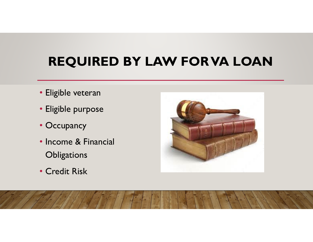# **REQUIRED BY LAW FOR VA LOAN**

- Eligible veteran
- Eligible purpose
- Occupancy
- Income & Financial **Obligations**
- Credit Risk

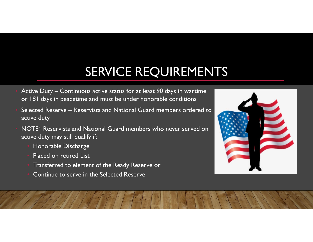# SERVICE REQUIREMENTS

- Active Duty Continuous active status for at least 90 days in wartime or 181 days in peacetime and must be under honorable conditions
- Selected Reserve Reservists and National Guard members ordered to active duty
- NOTE\* Reservists and National Guard members who never served on active duty may still qualify if:
	- Honorable Discharge
	- Placed on retired List
	- Transferred to element of the Ready Reserve or
	- Continue to serve in the Selected Reserve

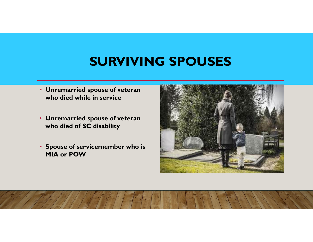### **SURVIVING SPOUSES**

- **Unremarried spouse of veteran who died while in service**
- **Unremarried spouse of veteran who died of SC disability**
- **Spouse of servicemember who is MIA or POW**

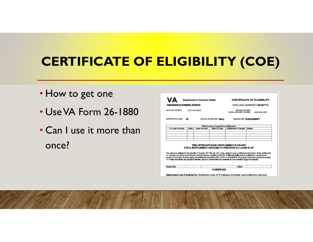# **CERTIFICATE OF ELIGIBILITY (COE)**

- How to get one
- Use VA Form 26-1880
- Can I use it more than once?

| VΔ                                                                   | Department of Voterana Affairs |             |                                    | <b>CERTIFICATE OF ELIGIBILITY</b>                                                                                                                                                                                             |                                                                                                                                                                                                                                                                                                                                                                                                                   |  |
|----------------------------------------------------------------------|--------------------------------|-------------|------------------------------------|-------------------------------------------------------------------------------------------------------------------------------------------------------------------------------------------------------------------------------|-------------------------------------------------------------------------------------------------------------------------------------------------------------------------------------------------------------------------------------------------------------------------------------------------------------------------------------------------------------------------------------------------------------------|--|
| REFERENCE MJMBER 3588850                                             |                                |             |                                    | FOR LOAN CLIARANTY BENEFITS                                                                                                                                                                                                   |                                                                                                                                                                                                                                                                                                                                                                                                                   |  |
| NAME OF VETERING<br>JOE SOLDIER                                      |                                |             |                                    | SERVICE NUVERS<br>SOCIAL SECURITY NUMBER<br>XXX-XX-6789                                                                                                                                                                       |                                                                                                                                                                                                                                                                                                                                                                                                                   |  |
| <b><i>BRANCH OF SERVICE NEWS</i></b><br><b>BYTTLB/BYT CODE</b><br>05 |                                |             |                                    | FUNDING FEE NON EXEMPT                                                                                                                                                                                                        |                                                                                                                                                                                                                                                                                                                                                                                                                   |  |
|                                                                      |                                |             | Prior Loans charged to entitlement |                                                                                                                                                                                                                               |                                                                                                                                                                                                                                                                                                                                                                                                                   |  |
| VA Loan Number                                                       | State                          | Loan Amount | Date of Loan                       | En@lement Charged Status                                                                                                                                                                                                      |                                                                                                                                                                                                                                                                                                                                                                                                                   |  |
|                                                                      |                                |             |                                    |                                                                                                                                                                                                                               |                                                                                                                                                                                                                                                                                                                                                                                                                   |  |
|                                                                      |                                |             |                                    |                                                                                                                                                                                                                               |                                                                                                                                                                                                                                                                                                                                                                                                                   |  |
|                                                                      |                                |             |                                    | THIS VETERAN'S BASIC ENTITLEMENT IS \$36,000*<br>TOTAL ENTITLEMENT CHARGED TO PREVIOUS VALOANS IS 50*<br>VA county loan limits are adjusted annualiz, and the current limits are available at www.benefits.va.gov/horseloans. | The valence is eligible for the benefits of Chanker 37, Title 38, U.S. Code, subject to any condition's) clied below. Real: entitement<br>for veterans who have not praviously used horre been benefits in \$35,000. Additional entitiement is available for most loans in<br>sycass of \$144,000. In such casas, the entitement amount is 25% of the VA loan limit for the county where the property is located. |  |
|                                                                      |                                |             |                                    |                                                                                                                                                                                                                               |                                                                                                                                                                                                                                                                                                                                                                                                                   |  |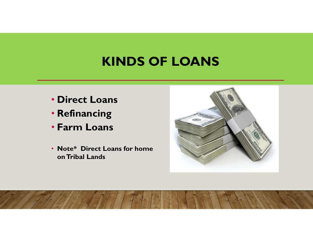### **KINDS OF LOANS**

- **Direct Loans**
- **Refinancing**
- **Farm Loans**
- **Note\* Direct Loans for home on Tribal Lands**

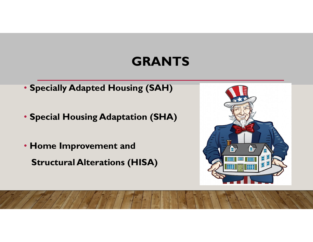## **GRANTS**

- **Specially Adapted Housing (SAH)**
- **Special Housing Adaptation (SHA)**
- **Home Improvement and Structural Alterations (HISA)**

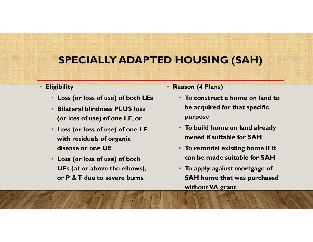### **SPECIALLY ADAPTED HOUSING (SAH)**

#### • **Eligibility**

- **Loss (or loss of use) of both LEs**
- **Bilateral blindness PLUS loss (or loss of use) of one LE, or**
- **Loss (or loss of use) of one LE with residuals of organic disease or one UE**
- **Loss (or loss of use) of both UEs (at or above the elbows), or P & T due to severe burns**
- **Reason (4 Plans)**
	- **To construct a home on land to be acquired for that specific purpose**
	- **To build home on land already owned if suitable for SAH**
	- **To remodel existing home if it can be made suitable for SAH**
	- **To apply against mortgage of SAH home that was purchased without VA grant**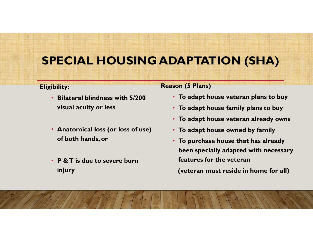### **SPECIAL HOUSING ADAPTATION (SHA)**

#### **Eligibility:**

- **Bilateral blindness with 5/200 visual acuity or less**
- **Anatomical loss (or loss of use) of both hands, or**
- **P & T is due to severe burn injury**

#### **Reason (5 Plans)**

- **To adapt house veteran plans to buy**
- **To adapt house family plans to buy**
- **To adapt house veteran already owns**
- **To adapt house owned by family**
- **To purchase house that has already been specially adapted with necessary features for the veteran**

**(veteran must reside in home for all)**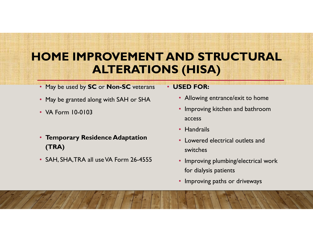### **HOME IMPROVEMENT AND STRUCTURAL ALTERATIONS (HISA)**

- May be used by **SC** or **Non-SC** veterans
- May be granted along with SAH or SHA
- VA Form 10-0103
- **Temporary Residence Adaptation (TRA)**
- SAH, SHA,TRA all use VA Form 26-4555

#### • **USED FOR:**

- Allowing entrance/exit to home
- Improving kitchen and bathroom access
- Handrails
- Lowered electrical outlets and switches
- Improving plumbing/electrical work for dialysis patients
- Improving paths or driveways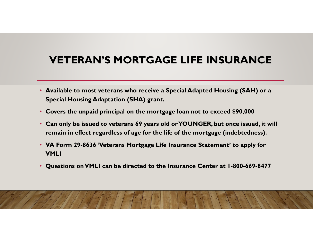### **VETERAN'S MORTGAGE LIFE INSURANCE**

- **Available to most veterans who receive a Special Adapted Housing (SAH) or a Special Housing Adaptation (SHA) grant.**
- **Covers the unpaid principal on the mortgage loan not to exceed \$90,000**
- **Can only be issued to veterans 69 years old or YOUNGER, but once issued, it will remain in effect regardless of age for the life of the mortgage (indebtedness).**
- **VA Form 29-8636 'Veterans Mortgage Life Insurance Statement' to apply for VMLI**
- **Questions on VMLI can be directed to the Insurance Center at 1-800-669-8477**